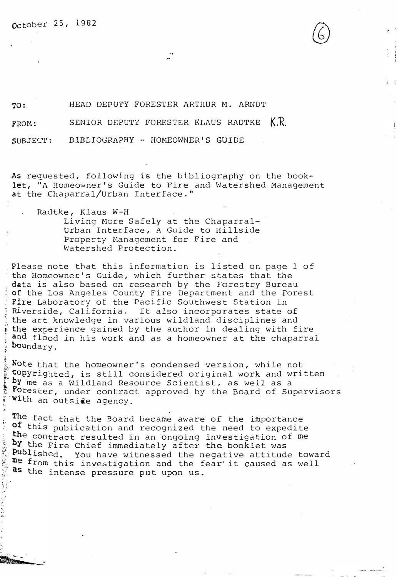october 25, 1982

TO: HEAD DEPUTY FORESTER ARTHUR M. ARNDT

SENIOR DEPUTY FORESTER KLAUS RADTKE K.R. FROM:

SUBJECT: BIBLIOGRAPHY - HOMEOWNER'S GUIDE

As requested, following is the bibliography on the booklet, "A Homeowner's Guide to Fire and Watershed Management at the Chaparral/Urban Interface."

Radtke, Klaus W-H

�·

 $\ddot{\phantom{0}}$ 

Living More Safely at the Chaparral-Urban Interface, A Guide to Hillside Property Management for Fire and Watershed Protection.

Please note that this information is listed on page 1 of the Homeowner's Guide, which further &tates that the data is also based on research by the Forestry Bureau of the Los Angeles County Fire Department and the Forest Fire Laboratory of the Pacific Southwest Station in , Riverside, California. It also incorporates state of � the art knowledge in various wildland disciplines and the experience gained by the author in dealing with fire and flood in his work and as a homeowner at the chaparral : boundary.

Note that the homeowner's condensed version, while not copyrighted, is still considered original work and written by me as a Wildland Resource Scientist, as well as a Porester, under contract approved by the Board of Supervisors with an outside agency.

The fact that the Board became aware of the importance of this publication and recognized the need to expedite the contract resulted in an ongoing investigation of me by the Fire Chief immediately after the booklet was<br>Published. You have witnessed the negative attitud You have witnessed the negative attitude toward me from this investigation and the fear' it caused as well as the intense pressure put upon us.